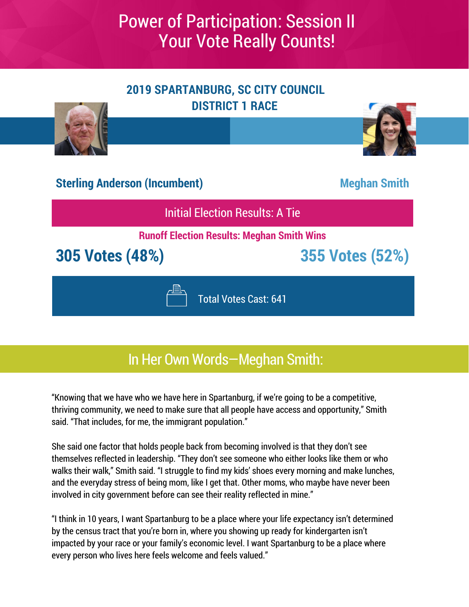

### In Her Own Words—Meghan Smith:

"Knowing that we have who we have here in Spartanburg, if we're going to be a competitive, thriving community, we need to make sure that all people have access and opportunity," Smith said. "That includes, for me, the immigrant population."

She said one factor that holds people back from becoming involved is that they don't see themselves reflected in leadership. "They don't see someone who either looks like them or who walks their walk," Smith said. "I struggle to find my kids' shoes every morning and make lunches, and the everyday stress of being mom, like I get that. Other moms, who maybe have never been involved in city government before can see their reality reflected in mine."

"I think in 10 years, I want Spartanburg to be a place where your life expectancy isn't determined by the census tract that you're born in, where you showing up ready for kindergarten isn't impacted by your race or your family's economic level. I want Spartanburg to be a place where every person who lives here feels welcome and feels valued."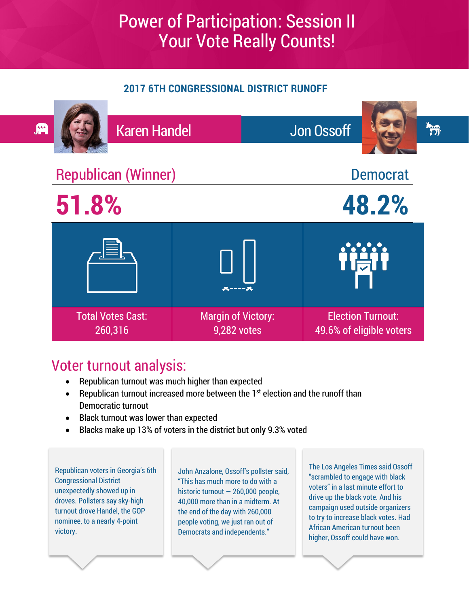#### **2017 6TH CONGRESSIONAL DISTRICT RUNOFF**



### Voter turnout analysis:

- Republican turnout was much higher than expected
- Republican turnout increased more between the  $1<sup>st</sup>$  election and the runoff than Democratic turnout
- Black turnout was lower than expected
- Blacks make up 13% of voters in the district but only 9.3% voted

Republican voters in Georgia's 6th Congressional District unexpectedly showed up in droves. Pollsters say sky-high turnout drove Handel, the GOP nominee, to a nearly 4-point victory.

John Anzalone, Ossoff's pollster said, "This has much more to do with a historic turnout - 260,000 people. 40,000 more than in a midterm. At the end of the day with 260,000 people voting, we just ran out of Democrats and independents."

The Los Angeles Times said Ossoff "scrambled to engage with black voters" in a last minute effort to drive up the black vote. And his campaign used outside organizers to try to increase black votes. Had African American turnout been higher, Ossoff could have won.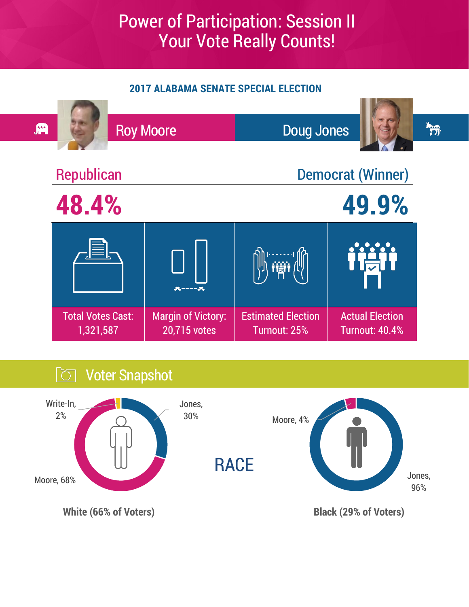#### **2017 ALABAMA SENATE SPECIAL ELECTION**



### **Voter Snapshot**

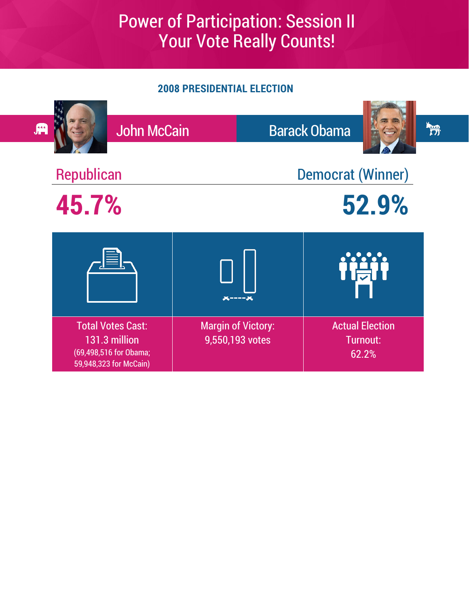#### **2008 PRESIDENTIAL ELECTION**

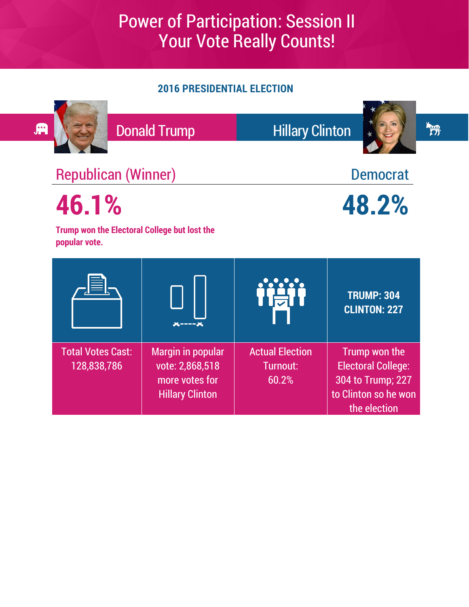#### **2016 PRESIDENTIAL ELECTION**

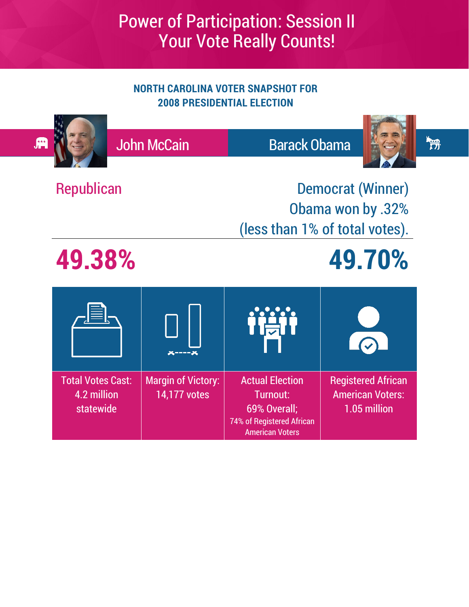#### **NORTH CAROLINA VOTER SNAPSHOT FOR 2008 PRESIDENTIAL ELECTION**